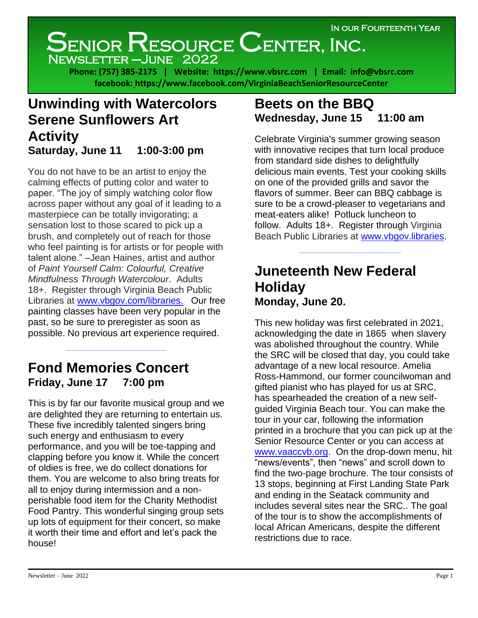# SENIOR RESOURCE CENTER, INC.

Newsletter –June 2022

**Phone: (757) 385-2175 | Website: https:/[/www.vbsrc.com](http://www.vbsrc.com/) | Email: [info@vbsrc.com](mailto:info@vbsrc.com) facebook: https://www.facebook.com/VirginiaBeachSeniorResourceCenter**

## **Unwinding with Watercolors Serene Sunflowers Art Activity Saturday, June 11 1:00-3:00 pm**

You do not have to be an artist to enjoy the calming effects of putting color and water to paper. "The joy of simply watching color flow across paper without any goal of it leading to a masterpiece can be totally invigorating; a sensation lost to those scared to pick up a brush, and completely out of reach for those who feel painting is for artists or for people with talent alone." –Jean Haines, artist and author of *Paint Yourself Calm: Colourful, Creative Mindfulness Through Watercolour*. Adults 18+. Register through Virginia Beach Public Libraries at [www.vbgov.com/libraries.](http://www.vbgov.com/libraries) Our free painting classes have been very popular in the past, so be sure to preregister as soon as possible. No previous art experience required.

## **Fond Memories Concert Friday, June 17 7:00 pm**

This is by far our favorite musical group and we are delighted they are returning to entertain us. These five incredibly talented singers bring such energy and enthusiasm to every performance, and you will be toe-tapping and clapping before you know it. While the concert of oldies is free, we do collect donations for them. You are welcome to also bring treats for all to enjoy during intermission and a nonperishable food item for the Charity Methodist Food Pantry. This wonderful singing group sets up lots of equipment for their concert, so make it worth their time and effort and let's pack the house!

### **Beets on the BBQ Wednesday, June 15 11:00 am**

Celebrate Virginia's summer growing season with innovative recipes that turn local produce from standard side dishes to delightfully delicious main events. Test your cooking skills on one of the provided grills and savor the flavors of summer. Beer can BBQ cabbage is sure to be a crowd-pleaser to vegetarians and meat-eaters alike! Potluck luncheon to follow. Adults 18+. Register through Virginia Beach Public Libraries at [www.vbgov.libraries.](http://www.vbgov.libraries/)

## **Juneteenth New Federal Holiday Monday, June 20.**

This new holiday was first celebrated in 2021, acknowledging the date in 1865 when slavery was abolished throughout the country. While the SRC will be closed that day, you could take advantage of a new local resource. Amelia Ross-Hammond, our former councilwoman and gifted pianist who has played for us at SRC, has spearheaded the creation of a new selfguided Virginia Beach tour. You can make the tour in your car, following the information printed in a brochure that you can pick up at the Senior Resource Center or you can access at [www.vaaccvb.org.](http://www.vaaccvb.org/) On the drop-down menu, hit "news/events", then "news" and scroll down to find the two-page brochure. The tour consists of 13 stops, beginning at First Landing State Park and ending in the Seatack community and includes several sites near the SRC.. The goal of the tour is to show the accomplishments of local African Americans, despite the different restrictions due to race.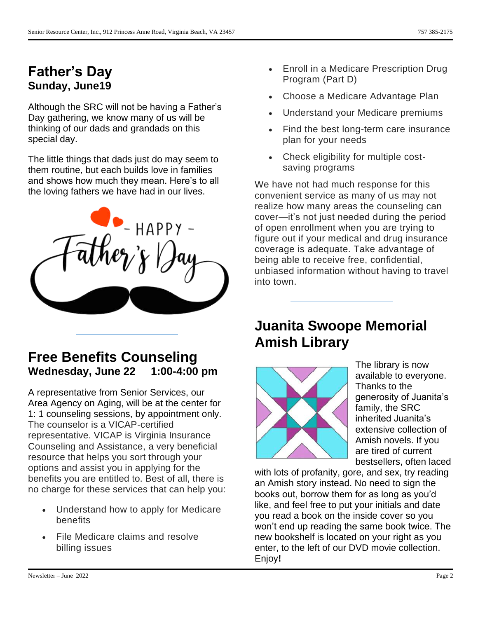## **Father's Day Sunday, June19**

Although the SRC will not be having a Father's Day gathering, we know many of us will be thinking of our dads and grandads on this special day.

The little things that dads just do may seem to them routine, but each builds love in families and shows how much they mean. Here's to all the loving fathers we have had in our lives.



## **Free Benefits Counseling Wednesday, June 22 1:00-4:00 pm**

A representative from Senior Services, our Area Agency on Aging, will be at the center for 1: 1 counseling sessions, by appointment only. The counselor is a VICAP-certified representative. VICAP is Virginia Insurance Counseling and Assistance, a very beneficial resource that helps you sort through your options and assist you in applying for the benefits you are entitled to. Best of all, there is no charge for these services that can help you:

- Understand how to apply for Medicare benefits
- File Medicare claims and resolve billing issues
- Enroll in a Medicare Prescription Drug Program (Part D)
- Choose a Medicare Advantage Plan
- Understand your Medicare premiums
- Find the best long-term care insurance plan for your needs
- Check eligibility for multiple costsaving programs

We have not had much response for this convenient service as many of us may not realize how many areas the counseling can cover—it's not just needed during the period of open enrollment when you are trying to figure out if your medical and drug insurance coverage is adequate. Take advantage of being able to receive free, confidential, unbiased information without having to travel into town.

# **Juanita Swoope Memorial Amish Library**



The library is now available to everyone. Thanks to the generosity of Juanita's family, the SRC inherited Juanita's extensive collection of Amish novels. If you are tired of current bestsellers, often laced

with lots of profanity, gore, and sex, try reading an Amish story instead. No need to sign the books out, borrow them for as long as you'd like, and feel free to put your initials and date you read a book on the inside cover so you won't end up reading the same book twice. The new bookshelf is located on your right as you enter, to the left of our DVD movie collection. Enjoy**!**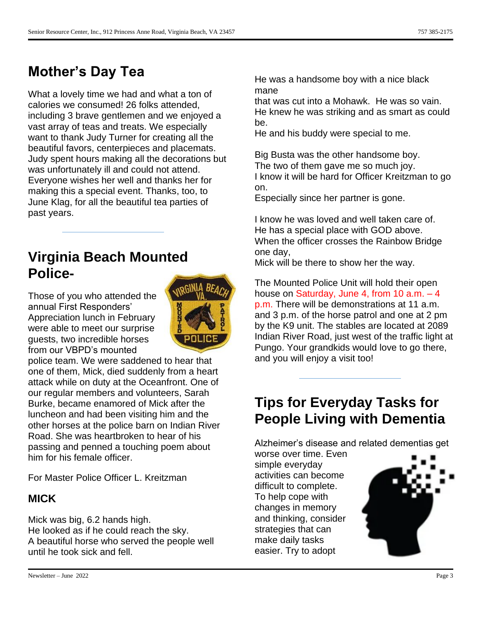# **Mother's Day Tea**

What a lovely time we had and what a ton of calories we consumed! 26 folks attended, including 3 brave gentlemen and we enjoyed a vast array of teas and treats. We especially want to thank Judy Turner for creating all the beautiful favors, centerpieces and placemats. Judy spent hours making all the decorations but was unfortunately ill and could not attend. Everyone wishes her well and thanks her for making this a special event. Thanks, too, to June Klag, for all the beautiful tea parties of past years.

# **Virginia Beach Mounted Police-**

Those of you who attended the annual First Responders' Appreciation lunch in February were able to meet our surprise guests, two incredible horses from our VBPD's mounted



police team. We were saddened to hear that one of them, Mick, died suddenly from a heart attack while on duty at the Oceanfront. One of our regular members and volunteers, Sarah Burke, became enamored of Mick after the luncheon and had been visiting him and the other horses at the police barn on Indian River Road. She was heartbroken to hear of his passing and penned a touching poem about him for his female officer.

For Master Police Officer L. Kreitzman

#### **MICK**

Mick was big, 6.2 hands high. He looked as if he could reach the sky. A beautiful horse who served the people well until he took sick and fell.

He was a handsome boy with a nice black mane

that was cut into a Mohawk. He was so vain. He knew he was striking and as smart as could be.

He and his buddy were special to me.

Big Busta was the other handsome boy. The two of them gave me so much joy. I know it will be hard for Officer Kreitzman to go on.

Especially since her partner is gone.

I know he was loved and well taken care of. He has a special place with GOD above. When the officer crosses the Rainbow Bridge one day,

Mick will be there to show her the way.

The Mounted Police Unit will hold their open house on Saturday, June 4, from 10  $a.m. - 4$ p.m. There will be demonstrations at 11 a.m. and 3 p.m. of the horse patrol and one at 2 pm by the K9 unit. The stables are located at 2089 Indian River Road, just west of the traffic light at Pungo. Your grandkids would love to go there, and you will enjoy a visit too!

# **Tips for Everyday Tasks for People Living with Dementia**

Alzheimer's disease and related dementias get

worse over time. Even simple everyday activities can become difficult to complete. To help cope with changes in memory and thinking, consider strategies that can make daily tasks easier. Try to adopt

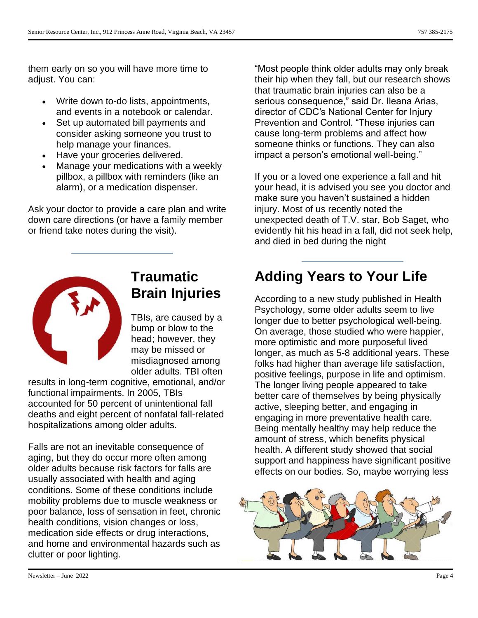them early on so you will have more time to adjust. You can:

- Write down to-do lists, appointments, and events in a notebook or calendar.
- Set up automated bill payments and consider asking someone you trust to help manage your finances.
- Have your groceries delivered.
- Manage your medications with a weekly pillbox, a pillbox with reminders (like an alarm), or a medication dispenser.

Ask your doctor to provide a care plan and write down care directions (or have a family member or friend take notes during the visit).

"Most people think older adults may only break their hip when they fall, but our research shows that traumatic brain injuries can also be a serious consequence," said Dr. Ileana Arias, director of CDC′s National Center for Injury Prevention and Control. "These injuries can cause long-term problems and affect how someone thinks or functions. They can also impact a person's emotional well-being."

If you or a loved one experience a fall and hit your head, it is advised you see you doctor and make sure you haven't sustained a hidden injury. Most of us recently noted the unexpected death of T.V. star, Bob Saget, who evidently hit his head in a fall, did not seek help, and died in bed during the night



## **Traumatic Brain Injuries**

TBIs, are caused by a bump or blow to the head; however, they may be missed or misdiagnosed among older adults. TBI often

results in long-term cognitive, emotional, and/or functional impairments. In 2005, TBIs accounted for 50 percent of unintentional fall deaths and eight percent of nonfatal fall-related hospitalizations among older adults.

Falls are not an inevitable consequence of aging, but they do occur more often among older adults because risk factors for falls are usually associated with health and aging conditions. Some of these conditions include mobility problems due to muscle weakness or poor balance, loss of sensation in feet, chronic health conditions, vision changes or loss, medication side effects or drug interactions, and home and environmental hazards such as clutter or poor lighting.

# **Adding Years to Your Life**

According to a new study published in Health Psychology, some older adults seem to live longer due to better psychological well-being. On average, those studied who were happier, more optimistic and more purposeful lived longer, as much as 5-8 additional years. These folks had higher than average life satisfaction, positive feelings, purpose in life and optimism. The longer living people appeared to take better care of themselves by being physically active, sleeping better, and engaging in engaging in more preventative health care. Being mentally healthy may help reduce the amount of stress, which benefits physical health. A different study showed that social support and happiness have significant positive effects on our bodies. So, maybe worrying less

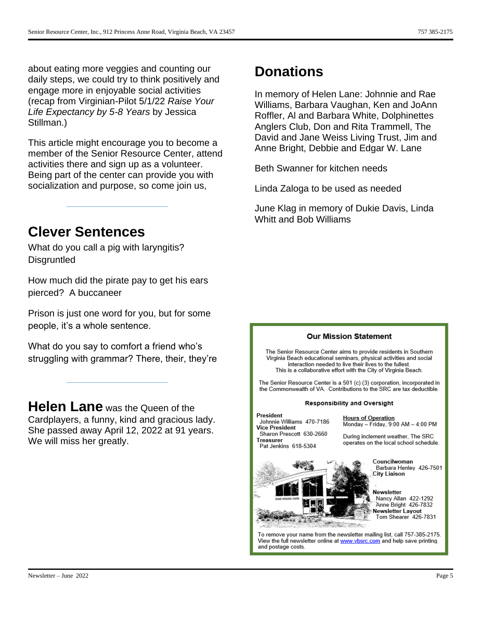about eating more veggies and counting our daily steps, we could try to think positively and engage more in enjoyable social activities (recap from Virginian-Pilot 5/1/22 *Raise Your Life Expectancy by 5-8 Years* by Jessica Stillman.)

This article might encourage you to become a member of the Senior Resource Center, attend activities there and sign up as a volunteer. Being part of the center can provide you with socialization and purpose, so come join us,

## **Clever Sentences**

What do you call a pig with laryngitis? **Disgruntled** 

How much did the pirate pay to get his ears pierced? A buccaneer

Prison is just one word for you, but for some people, it's a whole sentence.

What do you say to comfort a friend who's struggling with grammar? There, their, they're

**Helen Lane** was the Queen of the Cardplayers, a funny, kind and gracious lady. She passed away April 12, 2022 at 91 years. We will miss her greatly.

## **Donations**

In memory of Helen Lane: Johnnie and Rae Williams, Barbara Vaughan, Ken and JoAnn Roffler, Al and Barbara White, Dolphinettes Anglers Club, Don and Rita Trammell, The David and Jane Weiss Living Trust, Jim and Anne Bright, Debbie and Edgar W. Lane

Beth Swanner for kitchen needs

Linda Zaloga to be used as needed

June Klag in memory of Dukie Davis, Linda Whitt and Bob Williams